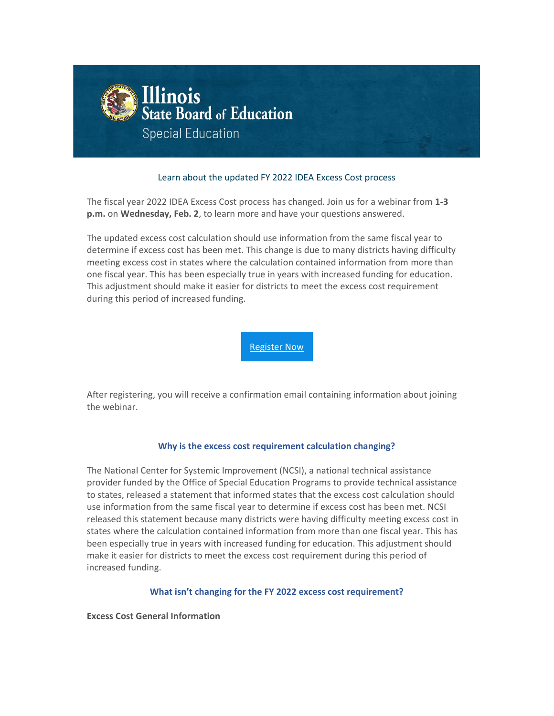

# Learn about the updated FY 2022 IDEA Excess Cost process

The fiscal year 2022 IDEA Excess Cost process has changed. Join us for a webinar from **1-3 p.m.** on **Wednesday, Feb. 2**, to learn more and have your questions answered.

The updated excess cost calculation should use information from the same fiscal year to determine if excess cost has been met. This change is due to many districts having difficulty meeting excess cost in states where the calculation contained information from more than one fiscal year. This has been especially true in years with increased funding for education. This adjustment should make it easier for districts to meet the excess cost requirement during this period of increased funding.

[Register Now](https://nam10.safelinks.protection.outlook.com/?url=http%3A%2F%2Flink.isbe.net%2Fc%2F7%2FeyJhaSI6OTAyMDg4NDQsImUiOiJrbGVzc2VuQGlzYmUubmV0IiwicmkiOiJjb250YWN0LTI0MDcyNTg2M2QzZWViMTFhODEzMDAwZDNhNWE3YWQ4LWM0M2RiMTI5NDg1YzQ0NDFiM2VkNjc4ODJhMjZjMDRkIiwicnEiOiIwMi1iMjIwMjYtMjcyY2Q4OGIwMDBlNGFmMmI5NDY5NWM4YTRhNjJjYzIiLCJwaCI6bnVsbCwibSI6ZmFsc2UsInVpIjoiMiIsInVuIjoiJTdCJTI1MjJVcmxJZE9mZnNldCUyNTIyJTI1M0ExJTdEIiwidSI6Imh0dHBzOi8vcmVnaXN0ZXIuZ290b3dlYmluYXIuY29tL3JlZ2lzdGVyLzg2MjcwMzY5MzI5MDE5MDIzNTE_X2NsZGVlPWEyeGxjM05sYmtCcGMySmxMbTVsZEElM2QlM2QmcmVjaXBpZW50aWQ9Y29udGFjdC0yNDA3MjU4NjNkM2VlYjExYTgxMzAwMGQzYTVhN2FkOC1jNDNkYjEyOTQ4NWM0NDQxYjNlZDY3ODgyYTI2YzA0ZCZlc2lkPTY5OGQzOTMyLTNiN2QtZWMxMS04ZDIxLTAwMGQzYTU5NWE0ZSJ9%2FCtrt5Qr5tNo0TxPeV6e1mg&data=04%7C01%7Cklessen%40isbe.net%7C684da124fe1d4acd9fe308d9e0ef8949%7C0364fe8649c64af4b52c335a99e577d1%7C0%7C0%7C637788141718154472%7CUnknown%7CTWFpbGZsb3d8eyJWIjoiMC4wLjAwMDAiLCJQIjoiV2luMzIiLCJBTiI6Ik1haWwiLCJXVCI6Mn0%3D%7C3000&sdata=UO%2FB%2FIdIFRoKYZ1SLWaAcBknJpuTQiA%2BB8ZGp7V5WR0%3D&reserved=0)

After registering, you will receive a confirmation email containing information about joining the webinar.

#### **Why is the excess cost requirement calculation changing?**

The National Center for Systemic Improvement (NCSI), a national technical assistance provider funded by the Office of Special Education Programs to provide technical assistance to states, released a statement that informed states that the excess cost calculation should use information from the same fiscal year to determine if excess cost has been met. NCSI released this statement because many districts were having difficulty meeting excess cost in states where the calculation contained information from more than one fiscal year. This has been especially true in years with increased funding for education. This adjustment should make it easier for districts to meet the excess cost requirement during this period of increased funding.

#### **What isn't changing for the FY 2022 excess cost requirement?**

**Excess Cost General Information**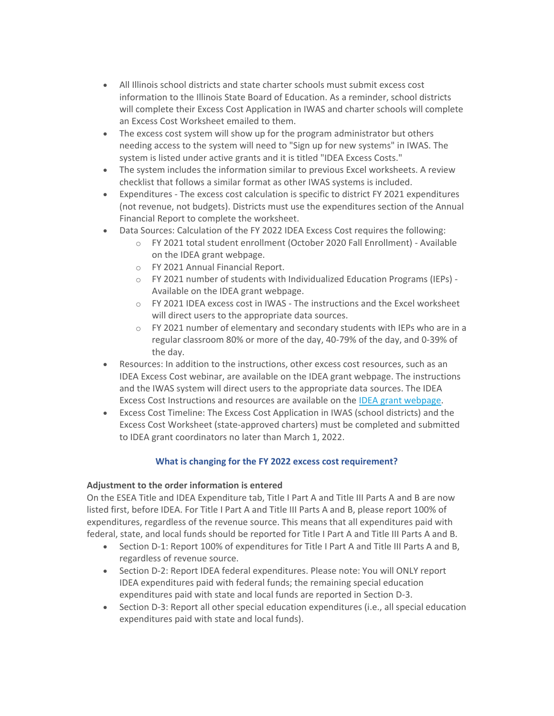- All Illinois school districts and state charter schools must submit excess cost information to the Illinois State Board of Education. As a reminder, school districts will complete their Excess Cost Application in IWAS and charter schools will complete an Excess Cost Worksheet emailed to them.
- The excess cost system will show up for the program administrator but others needing access to the system will need to "Sign up for new systems" in IWAS. The system is listed under active grants and it is titled "IDEA Excess Costs."
- The system includes the information similar to previous Excel worksheets. A review checklist that follows a similar format as other IWAS systems is included.
- Expenditures The excess cost calculation is specific to district FY 2021 expenditures (not revenue, not budgets). Districts must use the expenditures section of the Annual Financial Report to complete the worksheet.
- Data Sources: Calculation of the FY 2022 IDEA Excess Cost requires the following:
	- o FY 2021 total student enrollment (October 2020 Fall Enrollment) Available on the IDEA grant webpage.
	- o FY 2021 Annual Financial Report.
	- o FY 2021 number of students with Individualized Education Programs (IEPs) Available on the IDEA grant webpage.
	- $\circ$  FY 2021 IDEA excess cost in IWAS The instructions and the Excel worksheet will direct users to the appropriate data sources.
	- o FY 2021 number of elementary and secondary students with IEPs who are in a regular classroom 80% or more of the day, 40-79% of the day, and 0-39% of the day.
- Resources: In addition to the instructions, other excess cost resources, such as an IDEA Excess Cost webinar, are available on the IDEA grant webpage. The instructions and the IWAS system will direct users to the appropriate data sources. The IDEA Excess Cost Instructions and resources are available on the [IDEA grant webpage.](https://nam10.safelinks.protection.outlook.com/?url=http%3A%2F%2Flink.isbe.net%2Fc%2F7%2FeyJhaSI6OTAyMDg4NDQsImUiOiJrbGVzc2VuQGlzYmUubmV0IiwicmkiOiJjb250YWN0LTI0MDcyNTg2M2QzZWViMTFhODEzMDAwZDNhNWE3YWQ4LWM0M2RiMTI5NDg1YzQ0NDFiM2VkNjc4ODJhMjZjMDRkIiwicnEiOiIwMi1iMjIwMjYtMjcyY2Q4OGIwMDBlNGFmMmI5NDY5NWM4YTRhNjJjYzIiLCJwaCI6bnVsbCwibSI6ZmFsc2UsInVpIjoiNCIsInVuIjoiIiwidSI6Imh0dHBzOi8vd3d3LmlzYmUubmV0L1BhZ2VzL0lERUEtUGFydC1CLUdyYW50LVByb2dyYW0tSW5mb3JtYXRpb24uYXNweD9fY2xkZWU9YTJ4bGMzTmxia0JwYzJKbExtNWxkQSUzZCUzZCZyZWNpcGllbnRpZD1jb250YWN0LTI0MDcyNTg2M2QzZWViMTFhODEzMDAwZDNhNWE3YWQ4LWM0M2RiMTI5NDg1YzQ0NDFiM2VkNjc4ODJhMjZjMDRkJmVzaWQ9Njk4ZDM5MzItM2I3ZC1lYzExLThkMjEtMDAwZDNhNTk1YTRlIn0%2Fp7hmatTqcQmkqiWPxk3dNg&data=04%7C01%7Cklessen%40isbe.net%7C684da124fe1d4acd9fe308d9e0ef8949%7C0364fe8649c64af4b52c335a99e577d1%7C0%7C0%7C637788141718154472%7CUnknown%7CTWFpbGZsb3d8eyJWIjoiMC4wLjAwMDAiLCJQIjoiV2luMzIiLCJBTiI6Ik1haWwiLCJXVCI6Mn0%3D%7C3000&sdata=3ekpI9ozE0CEGdwD%2F3kagoqIkUOV8Ij%2B5gejB%2B5z7dQ%3D&reserved=0)
- Excess Cost Timeline: The Excess Cost Application in IWAS (school districts) and the Excess Cost Worksheet (state-approved charters) must be completed and submitted to IDEA grant coordinators no later than March 1, 2022.

# **What is changing for the FY 2022 excess cost requirement?**

# **Adjustment to the order information is entered**

On the ESEA Title and IDEA Expenditure tab, Title I Part A and Title III Parts A and B are now listed first, before IDEA. For Title I Part A and Title III Parts A and B, please report 100% of expenditures, regardless of the revenue source. This means that all expenditures paid with federal, state, and local funds should be reported for Title I Part A and Title III Parts A and B.

- Section D-1: Report 100% of expenditures for Title I Part A and Title III Parts A and B, regardless of revenue source.
- Section D-2: Report IDEA federal expenditures. Please note: You will ONLY report IDEA expenditures paid with federal funds; the remaining special education expenditures paid with state and local funds are reported in Section D-3.
- Section D-3: Report all other special education expenditures (i.e., all special education expenditures paid with state and local funds).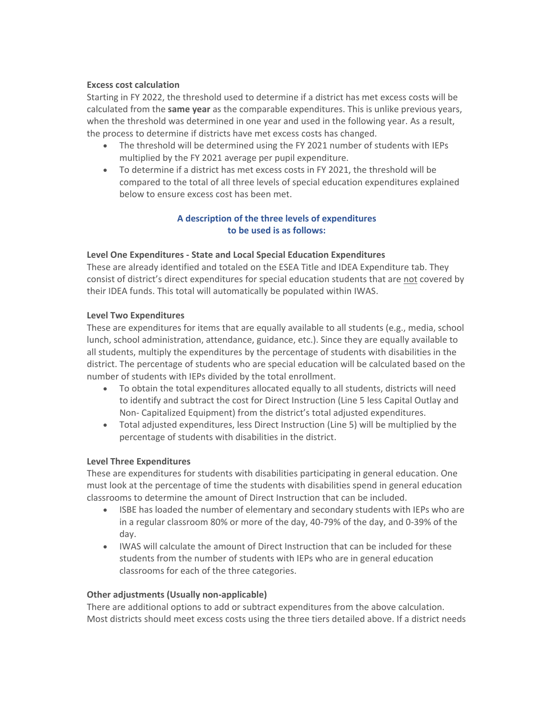## **Excess cost calculation**

Starting in FY 2022, the threshold used to determine if a district has met excess costs will be calculated from the **same year** as the comparable expenditures. This is unlike previous years, when the threshold was determined in one year and used in the following year. As a result, the process to determine if districts have met excess costs has changed.

- The threshold will be determined using the FY 2021 number of students with IEPs multiplied by the FY 2021 average per pupil expenditure.
- To determine if a district has met excess costs in FY 2021, the threshold will be compared to the total of all three levels of special education expenditures explained below to ensure excess cost has been met.

# **A description of the three levels of expenditures to be used is as follows:**

## **Level One Expenditures - State and Local Special Education Expenditures**

These are already identified and totaled on the ESEA Title and IDEA Expenditure tab. They consist of district's direct expenditures for special education students that are not covered by their IDEA funds. This total will automatically be populated within IWAS.

## **Level Two Expenditures**

These are expenditures for items that are equally available to all students (e.g., media, school lunch, school administration, attendance, guidance, etc.). Since they are equally available to all students, multiply the expenditures by the percentage of students with disabilities in the district. The percentage of students who are special education will be calculated based on the number of students with IEPs divided by the total enrollment.

- To obtain the total expenditures allocated equally to all students, districts will need to identify and subtract the cost for Direct Instruction (Line 5 less Capital Outlay and Non- Capitalized Equipment) from the district's total adjusted expenditures.
- Total adjusted expenditures, less Direct Instruction (Line 5) will be multiplied by the percentage of students with disabilities in the district.

# **Level Three Expenditures**

These are expenditures for students with disabilities participating in general education. One must look at the percentage of time the students with disabilities spend in general education classrooms to determine the amount of Direct Instruction that can be included.

- ISBE has loaded the number of elementary and secondary students with IEPs who are in a regular classroom 80% or more of the day, 40-79% of the day, and 0-39% of the day.
- IWAS will calculate the amount of Direct Instruction that can be included for these students from the number of students with IEPs who are in general education classrooms for each of the three categories.

# **Other adjustments (Usually non-applicable)**

There are additional options to add or subtract expenditures from the above calculation. Most districts should meet excess costs using the three tiers detailed above. If a district needs